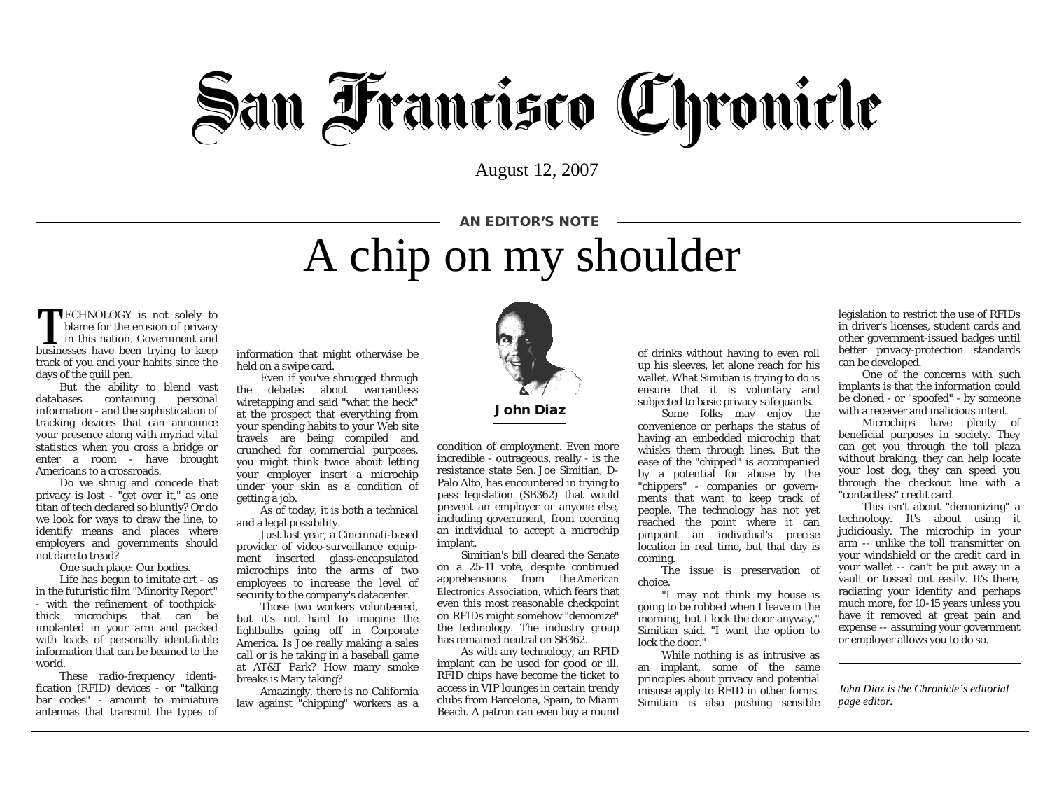## **San Francisco Chronicle**

August 12, 2007

## A chip on my shoulder AN EDITOR'S NOTE

**TECHNOLOGY** is not solely to blame for the erosion of privacy **L** in this nation. Government and businesses have been trying to keep track of you and your habits since the days of the quill pen.

But the ability to blend vast databases containing personal information - and the sophistication of tracking devices that can announce your presence along with myriad vital statistics when you cross a bridge or enter a room - have brought Americans to a crossroads.

Do we shrug and concede that privacy is lost - "get over it," as one titan of tech declared so bluntly? Or do we look for ways to draw the line, to identify means and places where employers and governments should not dare to tread?

One such place: Our bodies.

Life has begun to imitate art - as in the futuristic film "Minority Report" - with the refinement of toothpickthick microchips that can be implanted in your arm and packed with loads of personally identifiable information that can be beamed to the world.

These radio-frequency identification (RFID) devices - or "talking bar codes" - amount to miniature antennas that transmit the types of information that might otherwise be held on a swipe card.

Even if you've shrugged through the debates about warrantless wiretapping and said "what the heck" at the prospect that everything from your spending habits to your Web site travels are being compiled and crunched for commercial purposes, you might think twice about letting your employer insert a microchip under your skin as a condition of getting a job.

As of today, it is both a technical and a legal possibility.

Just last year, a Cincinnati-based provider of video-surveillance equipment inserted glass-encapsulated microchips into the arms of two employees to increase the level of security to the company's datacenter.

Those two workers volunteered, but it's not hard to imagine the lightbulbs going off in Corporate America. Is Joe really making a sales call or is he taking in a baseball game at AT&T Park? How many smoke breaks is Mary taking?

Amazingly, there is no California law against "chipping" workers as a



condition of employment. Even more incredible - outrageous, really - is the resistance state Sen. [Joe Simitian,](http://www.sfgate.com/search/?action=search&channel=opinion%2Fdiaz&inlineLink=1&searchindex=gsa&query=%22Joe+Simitian%22) D-Palo Alto, has encountered in trying to pass legislation (SB362) that would prevent an employer or anyone else, including government, from coercing an individual to accept a microchip implant.

Simitian's bill cleared the Senate on a 25-11 vote, despite continued apprehensions from the [American](http://www.sfgate.com/search/?action=search&channel=opinion%2Fdiaz&inlineLink=1&searchindex=gsa&query=%22American+Electronics+Association%22)  [Electronics Association](http://www.sfgate.com/search/?action=search&channel=opinion%2Fdiaz&inlineLink=1&searchindex=gsa&query=%22American+Electronics+Association%22), which fears that even this most reasonable checkpoint on RFIDs might somehow "demonize" the technology. The industry group has remained neutral on SB362.

As with any technology, an RFID implant can be used for good or ill. RFID chips have become the ticket to access in VIP lounges in certain trendy clubs from Barcelona, Spain, to Miami Beach. A patron can even buy a round

of drinks without having to even roll up his sleeves, let alone reach for his wallet. What Simitian is trying to do is ensure that it is voluntary and subjected to basic privacy safeguards.

Some folks may enjoy the convenience or perhaps the status of having an embedded microchip that whisks them through lines. But the ease of the "chipped" is accompanied by a potential for abuse by the "chippers" - companies or governments that want to keep track of people. The technology has not yet reached the point where it can pinpoint an individual's precise location in real time, but that day is coming.

The issue is preservation of choice.

"I may not think my house is going to be robbed when I leave in the morning, but I lock the door anyway," Simitian said. "I want the option to lock the door."

While nothing is as intrusive as an implant, some of the same principles about privacy and potential misuse apply to RFID in other forms. Simitian is also pushing sensible

legislation to restrict the use of RFIDs in driver's licenses, student cards and other government-issued badges until better privacy-protection standards can be developed.

One of the concerns with such implants is that the information could be cloned - or "spoofed" - by someone with a receiver and malicious intent.

Microchips have plenty of beneficial purposes in society. They can get you through the toll plaza without braking, they can help locate your lost dog, they can speed you through the checkout line with a "contactless" credit card.

This isn't about "demonizing" a technology. It's about using it judiciously. The microchip in your arm -- unlike the toll transmitter on your windshield or the credit card in your wallet -- can't be put away in a vault or tossed out easily. It's there, radiating your identity and perhaps much more, for 10-15 years unless you have it removed at great pain and expense -- assuming your government or employer allows you to do so.

*John Diaz is the Chronicle's editorial page editor.*